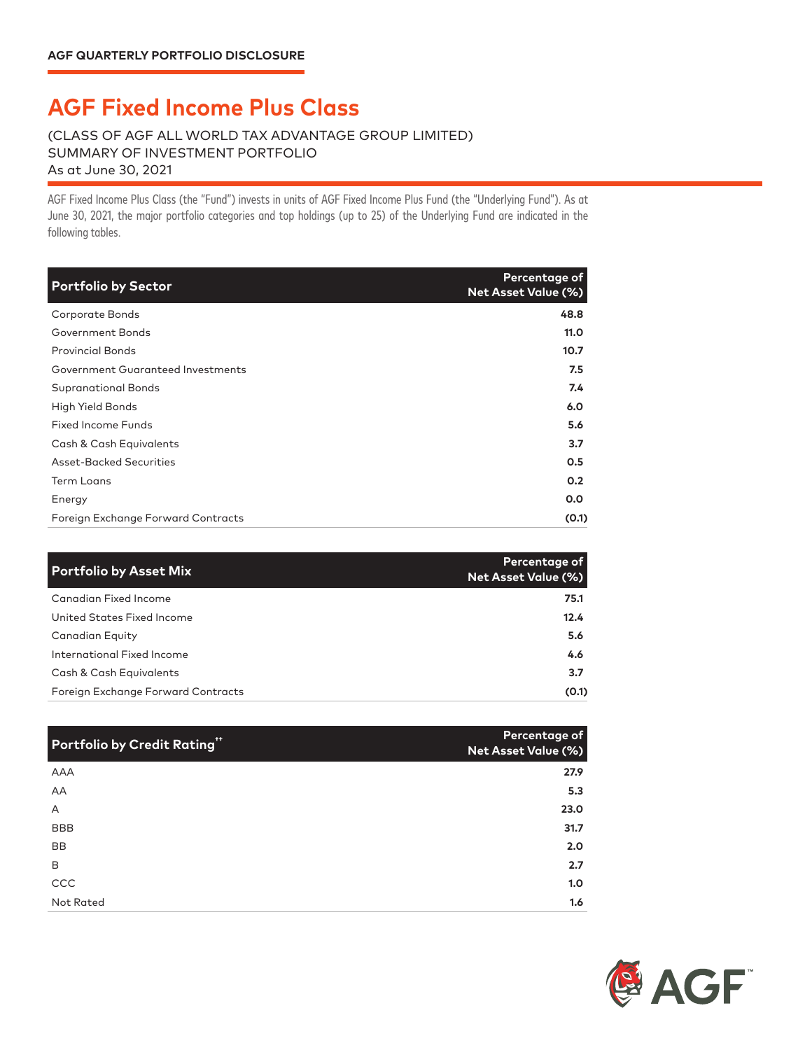## **AGF Fixed Income Plus Class**

## (CLASS OF AGF ALL WORLD TAX ADVANTAGE GROUP LIMITED) SUMMARY OF INVESTMENT PORTFOLIO As at June 30, 2021

AGF Fixed Income Plus Class AGF Fixed Income Plus Class (the "Fund") invests in units of AGF Fixed Income Plus Fund (the "Underlying Fund"). As at June 30, 2021, the major portfolio categories and top holdings (up to 25) of the Underlying Fund are indicated in the following tables.

| <b>Portfolio by Sector</b>         | Percentage of<br><b>Net Asset Value (%)</b> |
|------------------------------------|---------------------------------------------|
| Corporate Bonds                    | 48.8                                        |
| Government Bonds                   | 11.0                                        |
| <b>Provincial Bonds</b>            | 10.7                                        |
| Government Guaranteed Investments  | 7.5                                         |
| <b>Supranational Bonds</b>         | 7.4                                         |
| High Yield Bonds                   | 6.0                                         |
| <b>Fixed Income Funds</b>          | 5.6                                         |
| Cash & Cash Equivalents            | 3.7                                         |
| Asset-Backed Securities            | 0.5                                         |
| <b>Term Loans</b>                  | 0.2                                         |
| Energy                             | 0.0                                         |
| Foreign Exchange Forward Contracts | (0.1)                                       |

| <b>Portfolio by Asset Mix</b>      | Percentage of<br><b>Net Asset Value (%)</b> |
|------------------------------------|---------------------------------------------|
| <b>Canadian Fixed Income</b>       | 75.1                                        |
| United States Fixed Income         | 12.4                                        |
| Canadian Equity                    | 5.6                                         |
| International Fixed Income         | 4.6                                         |
| Cash & Cash Equivalents            | 3.7                                         |
| Foreign Exchange Forward Contracts | (0.1)                                       |

| <b>Portfolio by Credit Rating"</b> | Percentage of<br>Net Asset Value (%) |
|------------------------------------|--------------------------------------|
| <b>AAA</b>                         | 27.9                                 |
| AA                                 | 5.3                                  |
| A                                  | 23.0                                 |
| <b>BBB</b>                         | 31.7                                 |
| <b>BB</b>                          | 2.0                                  |
| B                                  | 2.7                                  |
| CCC                                | 1.0                                  |
| Not Rated                          | 1.6                                  |